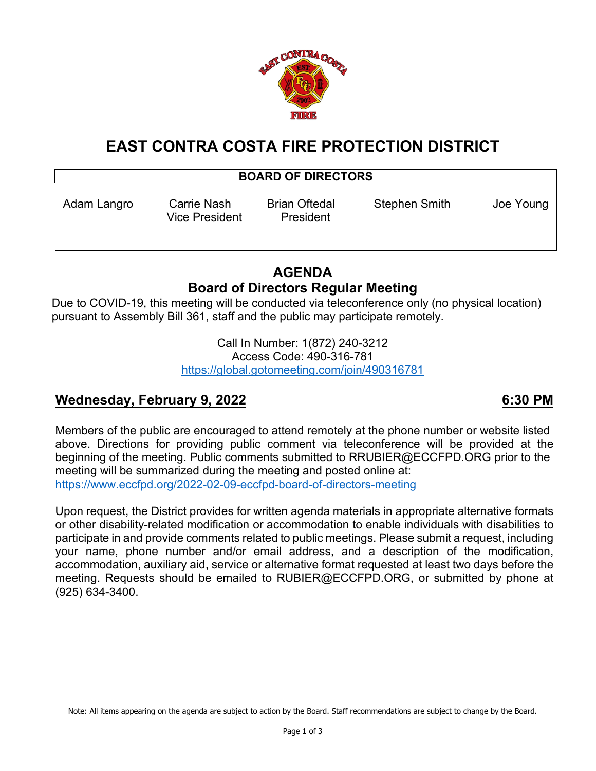

# **EAST CONTRA COSTA FIRE PROTECTION DISTRICT**

## **BOARD OF DIRECTORS**

Vice President President

Adam Langro Carrie Nash Brian Oftedal Stephen Smith Joe Young

## **AGENDA Board of Directors Regular Meeting**

Due to COVID-19, this meeting will be conducted via teleconference only (no physical location) pursuant to Assembly Bill 361, staff and the public may participate remotely.

> Call In Number: 1(872) 240-3212 Access Code: 490-316-781 <https://global.gotomeeting.com/join/490316781>

## **Wednesday, February 9, 2022 6:30 PM**

Members of the public are encouraged to attend remotely at the phone number or website listed above. Directions for providing public comment via teleconference will be provided at the beginning of the meeting. Public comments submitted to RRUBIER@ECCFPD.ORG prior to the meeting will be summarized during the meeting and posted online at: <https://www.eccfpd.org/2022-02-09-eccfpd-board-of-directors-meeting>

Upon request, the District provides for written agenda materials in appropriate alternative formats or other disability-related modification or accommodation to enable individuals with disabilities to participate in and provide comments related to public meetings. Please submit a request, including your name, phone number and/or email address, and a description of the modification, accommodation, auxiliary aid, service or alternative format requested at least two days before the meeting. Requests should be emailed to RUBIER@ECCFPD.ORG, or submitted by phone at (925) 634-3400.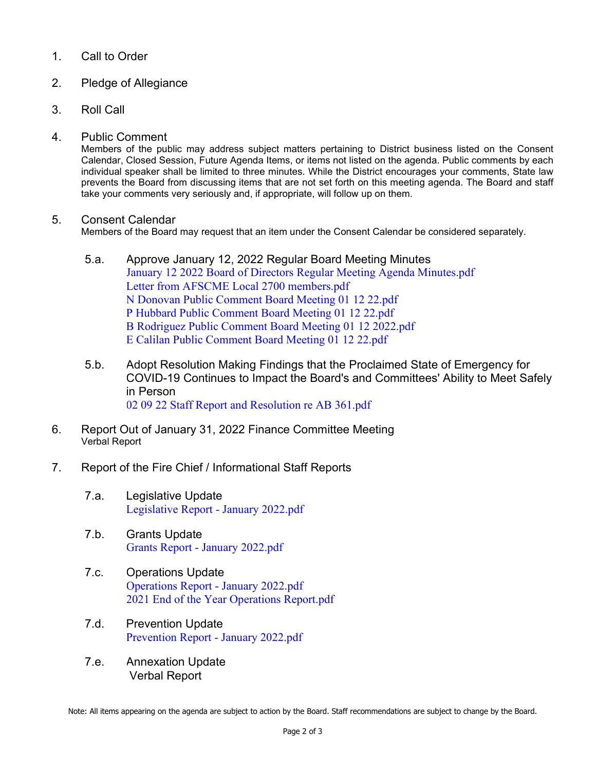## 1. Call to Order

- 2. Pledge of Allegiance
- 3. Roll Call
- 4. Public Comment

Members of the public may address subject matters pertaining to District business listed on the Consent Calendar, Closed Session, Future Agenda Items, or items not listed on the agenda. Public comments by each individual speaker shall be limited to three minutes. While the District encourages your comments, State law prevents the Board from discussing items that are not set forth on this meeting agenda. The Board and staff take your comments very seriously and, if appropriate, will follow up on them.

### 5. Consent Calendar

Members of the Board may request that an item under the Consent Calendar be considered separately.

- 5.a. Approve January 12, 2022 Regular Board Meeting Minutes [January 12 2022 Board of Directors Regular Meeting Agenda Minutes.pdf](https://legistarweb-production.s3.amazonaws.com/uploads/attachment/pdf/1237093/January_12_2022_Board_of_Directors_Regular_Meeting_Agenda_Minutes.pdf) [Letter from AFSCME Local 2700 members.pdf](https://legistarweb-production.s3.amazonaws.com/uploads/attachment/pdf/1237077/Letter_from_AFSCME_Local_2700_members.pdf) [N Donovan Public Comment Board Meeting 01 12 22.pdf](https://legistarweb-production.s3.amazonaws.com/uploads/attachment/pdf/1237078/N_Donovan_Public_Comment_Board_Meeting_01_12_22.pdf) [P Hubbard Public Comment Board Meeting 01 12 22.pdf](https://legistarweb-production.s3.amazonaws.com/uploads/attachment/pdf/1237079/P_Hubbard_Public_Comment_Board_Meeting_01_12_22.pdf) [B Rodriguez Public Comment Board Meeting 01](https://legistarweb-production.s3.amazonaws.com/uploads/attachment/pdf/1237075/B_Rodriguez_Public_Comment_Board_Meeting_01_12_2022.pdf) 12 2022.pdf [E Calilan Public Comment Board Meeting 01 12 22.pdf](https://legistarweb-production.s3.amazonaws.com/uploads/attachment/pdf/1237076/E_Calilan_Public_Comment_Board_Meeting_01_12_22.pdf)
- 5.b. Adopt Resolution Making Findings that the Proclaimed State of Emergency for COVID-19 Continues to Impact the Board's and Committees' Ability to Meet Safely in Person [02 09 22 Staff Report and Resolution re AB 361.pdf](https://legistarweb-production.s3.amazonaws.com/uploads/attachment/pdf/1237104/02_09_22_Staff_Report_and_Resolution_re_AB_361.pdf)
- 6. Report Out of January 31, 2022 Finance Committee Meeting Verbal Report
- 7. Report of the Fire Chief / Informational Staff Reports
	- 7.a. Legislative Update [Legislative Report -](https://legistarweb-production.s3.amazonaws.com/uploads/attachment/pdf/1236312/Legislative_Report_-_January_2022.pdf) January 2022.pdf
	- 7.b. Grants Update Grants Report - [January 2022.pdf](https://legistarweb-production.s3.amazonaws.com/uploads/attachment/pdf/1236315/Grants_Report_-_January_2022.pdf)
	- 7.c. Operations Update [Operations Report -](https://legistarweb-production.s3.amazonaws.com/uploads/attachment/pdf/1236318/Operations_Report_-_January_2022.pdf) January 2022.pdf [2021 End of the Year Operations Report.pdf](https://legistarweb-production.s3.amazonaws.com/uploads/attachment/pdf/1236316/2021_End_of_the_Year_Operations_Report.pdf)
	- 7.d. Prevention Update [Prevention Report -](https://legistarweb-production.s3.amazonaws.com/uploads/attachment/pdf/1236321/Prevention_Report_-_January_2022.pdf) January 2022.pdf
	- 7.e. Annexation Update Verbal Report

Note: All items appearing on the agenda are subject to action by the Board. Staff recommendations are subject to change by the Board.